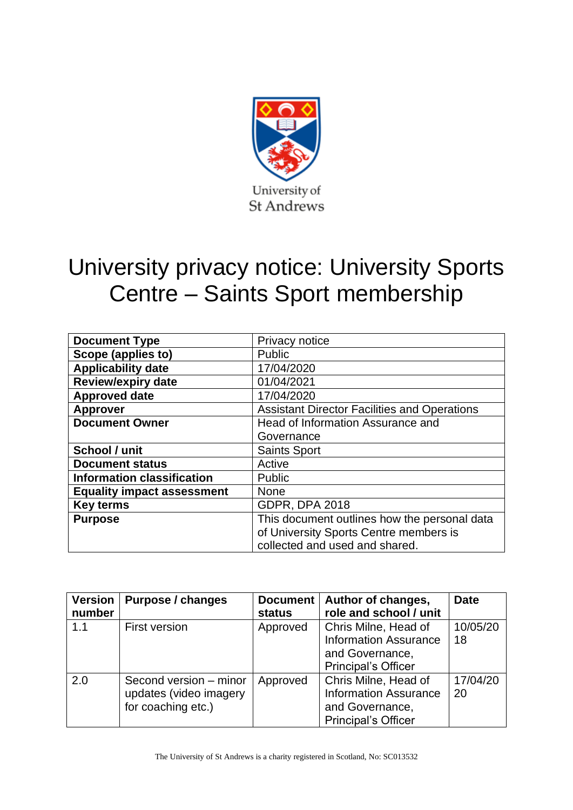

# University privacy notice: University Sports Centre – Saints Sport membership

| <b>Document Type</b>              | Privacy notice                                      |  |  |
|-----------------------------------|-----------------------------------------------------|--|--|
| Scope (applies to)                | Public                                              |  |  |
| <b>Applicability date</b>         | 17/04/2020                                          |  |  |
| <b>Review/expiry date</b>         | 01/04/2021                                          |  |  |
| <b>Approved date</b>              | 17/04/2020                                          |  |  |
| <b>Approver</b>                   | <b>Assistant Director Facilities and Operations</b> |  |  |
| <b>Document Owner</b>             | Head of Information Assurance and                   |  |  |
|                                   | Governance                                          |  |  |
| School / unit                     | <b>Saints Sport</b>                                 |  |  |
| <b>Document status</b>            | Active                                              |  |  |
| <b>Information classification</b> | Public                                              |  |  |
| <b>Equality impact assessment</b> | None                                                |  |  |
| <b>Key terms</b>                  | <b>GDPR, DPA 2018</b>                               |  |  |
| <b>Purpose</b>                    | This document outlines how the personal data        |  |  |
|                                   | of University Sports Centre members is              |  |  |
|                                   | collected and used and shared.                      |  |  |

| <b>Version</b> | <b>Purpose / changes</b> | <b>Document</b> | Author of changes,           | <b>Date</b> |
|----------------|--------------------------|-----------------|------------------------------|-------------|
| number         |                          | <b>status</b>   | role and school / unit       |             |
| 1.1            | <b>First version</b>     | Approved        | Chris Milne, Head of         | 10/05/20    |
|                |                          |                 | <b>Information Assurance</b> | 18          |
|                |                          |                 | and Governance,              |             |
|                |                          |                 | <b>Principal's Officer</b>   |             |
| 2.0            | Second version - minor   | Approved        | Chris Milne, Head of         | 17/04/20    |
|                | updates (video imagery   |                 | <b>Information Assurance</b> | <b>20</b>   |
|                | for coaching etc.)       |                 | and Governance,              |             |
|                |                          |                 | <b>Principal's Officer</b>   |             |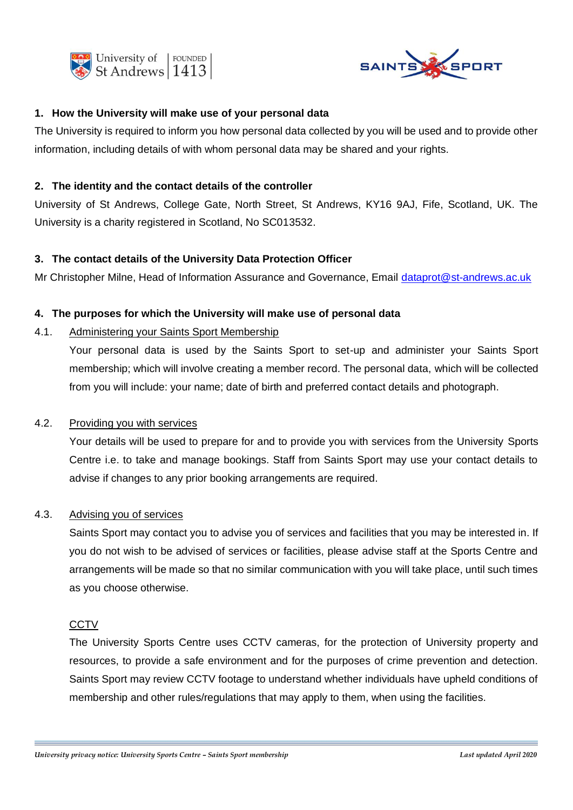



## **1. How the University will make use of your personal data**

The University is required to inform you how personal data collected by you will be used and to provide other information, including details of with whom personal data may be shared and your rights.

#### **2. The identity and the contact details of the controller**

University of St Andrews, College Gate, North Street, St Andrews, KY16 9AJ, Fife, Scotland, UK. The University is a charity registered in Scotland, No SC013532.

#### **3. The contact details of the University Data Protection Officer**

Mr Christopher Milne, Head of Information Assurance and Governance, Email [dataprot@st-andrews.ac.uk](mailto:dataprot@st-andrews.ac.uk)

#### **4. The purposes for which the University will make use of personal data**

## 4.1. Administering your Saints Sport Membership

Your personal data is used by the Saints Sport to set-up and administer your Saints Sport membership; which will involve creating a member record. The personal data, which will be collected from you will include: your name; date of birth and preferred contact details and photograph.

#### 4.2. Providing you with services

Your details will be used to prepare for and to provide you with services from the University Sports Centre i.e. to take and manage bookings. Staff from Saints Sport may use your contact details to advise if changes to any prior booking arrangements are required.

#### 4.3. Advising you of services

Saints Sport may contact you to advise you of services and facilities that you may be interested in. If you do not wish to be advised of services or facilities, please advise staff at the Sports Centre and arrangements will be made so that no similar communication with you will take place, until such times as you choose otherwise.

#### **CCTV**

The University Sports Centre uses CCTV cameras, for the protection of University property and resources, to provide a safe environment and for the purposes of crime prevention and detection. Saints Sport may review CCTV footage to understand whether individuals have upheld conditions of membership and other rules/regulations that may apply to them, when using the facilities.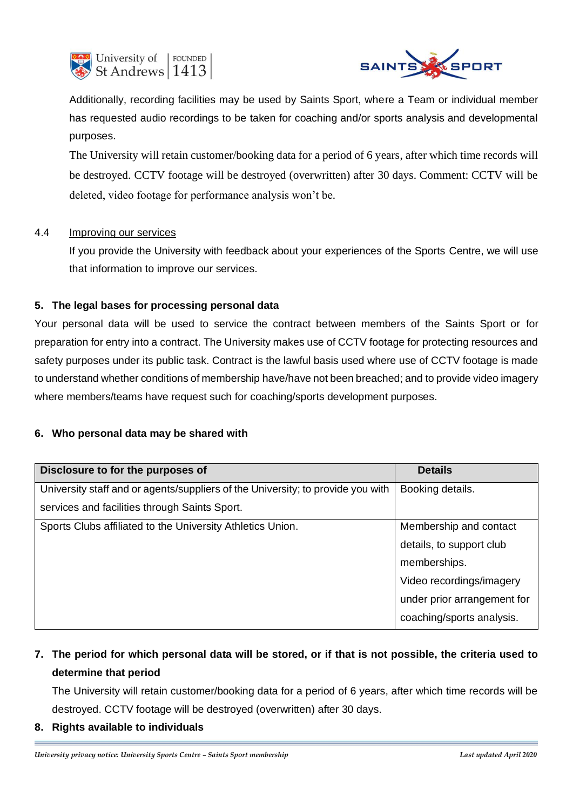



Additionally, recording facilities may be used by Saints Sport, where a Team or individual member has requested audio recordings to be taken for coaching and/or sports analysis and developmental purposes.

The University will retain customer/booking data for a period of 6 years, after which time records will be destroyed. CCTV footage will be destroyed (overwritten) after 30 days. Comment: CCTV will be deleted, video footage for performance analysis won't be*.*

## 4.4 Improving our services

If you provide the University with feedback about your experiences of the Sports Centre, we will use that information to improve our services.

# **5. The legal bases for processing personal data**

Your personal data will be used to service the contract between members of the Saints Sport or for preparation for entry into a contract. The University makes use of CCTV footage for protecting resources and safety purposes under its public task. Contract is the lawful basis used where use of CCTV footage is made to understand whether conditions of membership have/have not been breached; and to provide video imagery where members/teams have request such for coaching/sports development purposes.

## **6. Who personal data may be shared with**

| Disclosure to for the purposes of                                               | <b>Details</b>              |  |
|---------------------------------------------------------------------------------|-----------------------------|--|
| University staff and or agents/suppliers of the University; to provide you with | Booking details.            |  |
| services and facilities through Saints Sport.                                   |                             |  |
| Sports Clubs affiliated to the University Athletics Union.                      | Membership and contact      |  |
|                                                                                 | details, to support club    |  |
|                                                                                 | memberships.                |  |
|                                                                                 | Video recordings/imagery    |  |
|                                                                                 | under prior arrangement for |  |
|                                                                                 | coaching/sports analysis.   |  |

# **7. The period for which personal data will be stored, or if that is not possible, the criteria used to determine that period**

The University will retain customer/booking data for a period of 6 years, after which time records will be destroyed. CCTV footage will be destroyed (overwritten) after 30 days.

**8. Rights available to individuals**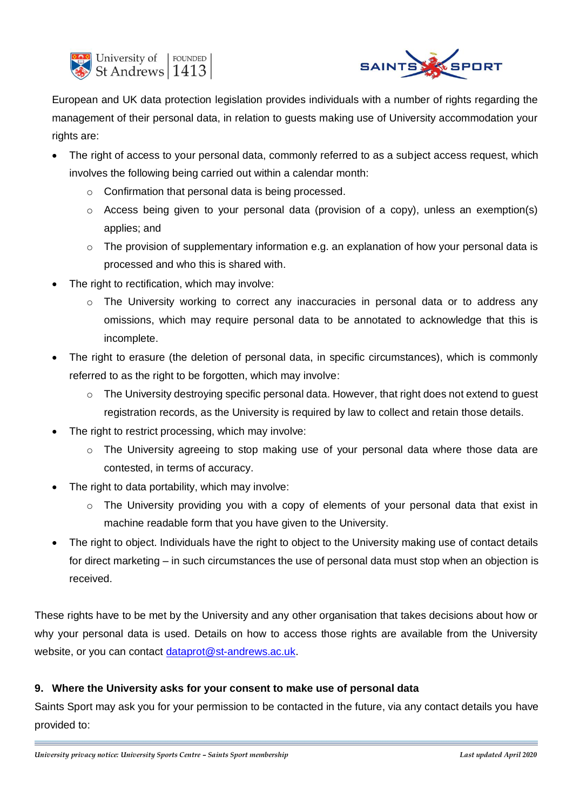



European and UK data protection legislation provides individuals with a number of rights regarding the management of their personal data, in relation to guests making use of University accommodation your rights are:

- The right of access to your personal data, commonly referred to as a subject access request, which involves the following being carried out within a calendar month:
	- o Confirmation that personal data is being processed.
	- $\circ$  Access being given to your personal data (provision of a copy), unless an exemption(s) applies; and
	- o The provision of supplementary information e.g. an explanation of how your personal data is processed and who this is shared with.
- The right to rectification, which may involve:
	- $\circ$  The University working to correct any inaccuracies in personal data or to address any omissions, which may require personal data to be annotated to acknowledge that this is incomplete.
- The right to erasure (the deletion of personal data, in specific circumstances), which is commonly referred to as the right to be forgotten, which may involve:
	- o The University destroying specific personal data. However, that right does not extend to guest registration records, as the University is required by law to collect and retain those details.
- The right to restrict processing, which may involve:
	- $\circ$  The University agreeing to stop making use of your personal data where those data are contested, in terms of accuracy.
- The right to data portability, which may involve:
	- $\circ$  The University providing you with a copy of elements of your personal data that exist in machine readable form that you have given to the University.
- The right to object. Individuals have the right to object to the University making use of contact details for direct marketing – in such circumstances the use of personal data must stop when an objection is received.

These rights have to be met by the University and any other organisation that takes decisions about how or why your personal data is used. Details on how to access those rights are available from the University website, or you can contact [dataprot@st-andrews.ac.uk.](mailto:dataprot@st-andrews.ac.uk)

# **9. Where the University asks for your consent to make use of personal data**

Saints Sport may ask you for your permission to be contacted in the future, via any contact details you have provided to: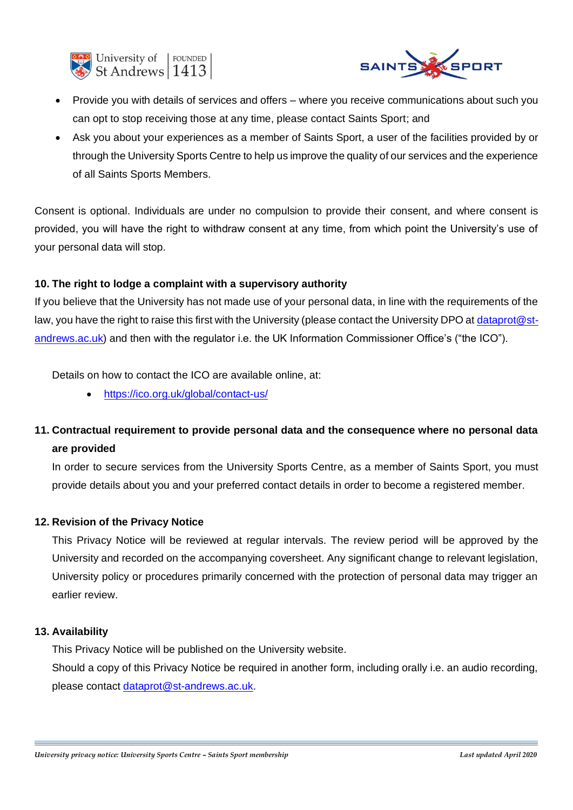



- Provide you with details of services and offers where you receive communications about such you can opt to stop receiving those at any time, please contact Saints Sport; and
- Ask you about your experiences as a member of Saints Sport, a user of the facilities provided by or through the University Sports Centre to help us improve the quality of our services and the experience of all Saints Sports Members.

Consent is optional. Individuals are under no compulsion to provide their consent, and where consent is provided, you will have the right to withdraw consent at any time, from which point the University's use of your personal data will stop.

## **10. The right to lodge a complaint with a supervisory authority**

If you believe that the University has not made use of your personal data, in line with the requirements of the law, you have the right to raise this first with the University (please contact the University DPO a[t dataprot@st](mailto:dataprot@st-andrews.ac.uk)[andrews.ac.uk\)](mailto:dataprot@st-andrews.ac.uk) and then with the regulator i.e. the UK Information Commissioner Office's ("the ICO").

Details on how to contact the ICO are available online, at:

• <https://ico.org.uk/global/contact-us/>

# **11. Contractual requirement to provide personal data and the consequence where no personal data are provided**

In order to secure services from the University Sports Centre, as a member of Saints Sport, you must provide details about you and your preferred contact details in order to become a registered member.

# **12. Revision of the Privacy Notice**

This Privacy Notice will be reviewed at regular intervals. The review period will be approved by the University and recorded on the accompanying coversheet. Any significant change to relevant legislation, University policy or procedures primarily concerned with the protection of personal data may trigger an earlier review.

## **13. Availability**

This Privacy Notice will be published on the University website.

Should a copy of this Privacy Notice be required in another form, including orally i.e. an audio recording, please contact [dataprot@st-andrews.ac.uk.](mailto:dataprot@st-andrews.ac.uk)